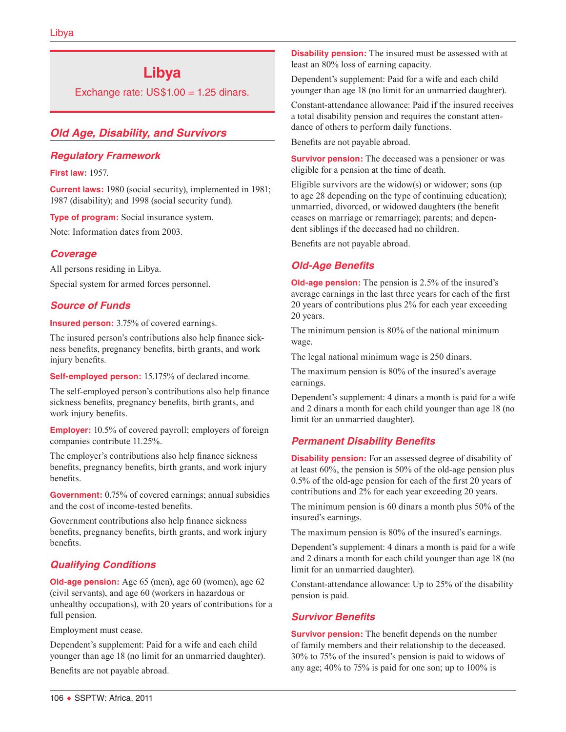# **Libya**

Exchange rate:  $US$1.00 = 1.25$  dinars.

# *Old Age, Disability, and Survivors*

## *Regulatory Framework*

**First law:** 1957.

**Current laws:** 1980 (social security), implemented in 1981; 1987 (disability); and 1998 (social security fund).

**Type of program:** Social insurance system.

Note: Information dates from 2003.

## *Coverage*

All persons residing in Libya. Special system for armed forces personnel.

## *Source of Funds*

**Insured person:** 3.75% of covered earnings.

The insured person's contributions also help finance sickness benefits, pregnancy benefits, birth grants, and work injury benefits.

**Self-employed person:** 15.175% of declared income.

The self-employed person's contributions also help finance sickness benefits, pregnancy benefits, birth grants, and work injury benefits.

**Employer:** 10.5% of covered payroll; employers of foreign companies contribute 11.25%.

The employer's contributions also help finance sickness benefits, pregnancy benefits, birth grants, and work injury benefits.

**Government:** 0.75% of covered earnings; annual subsidies and the cost of income-tested benefits.

Government contributions also help finance sickness benefits, pregnancy benefits, birth grants, and work injury benefits.

# *Qualifying Conditions*

**Old-age pension:** Age 65 (men), age 60 (women), age 62 (civil servants), and age 60 (workers in hazardous or unhealthy occupations), with 20 years of contributions for a full pension.

Employment must cease.

Dependent's supplement: Paid for a wife and each child younger than age 18 (no limit for an unmarried daughter).

Benefits are not payable abroad.

**Disability pension:** The insured must be assessed with at least an 80% loss of earning capacity.

Dependent's supplement: Paid for a wife and each child younger than age 18 (no limit for an unmarried daughter).

Constant-attendance allowance: Paid if the insured receives a total disability pension and requires the constant attendance of others to perform daily functions.

Benefits are not payable abroad.

**Survivor pension:** The deceased was a pensioner or was eligible for a pension at the time of death.

Eligible survivors are the widow(s) or widower; sons (up to age 28 depending on the type of continuing education); unmarried, divorced, or widowed daughters (the benefit ceases on marriage or remarriage); parents; and dependent siblings if the deceased had no children.

Benefits are not payable abroad.

# *Old-Age Benefits*

**Old-age pension:** The pension is 2.5% of the insured's average earnings in the last three years for each of the first 20 years of contributions plus 2% for each year exceeding 20 years.

The minimum pension is 80% of the national minimum wage.

The legal national minimum wage is 250 dinars.

The maximum pension is 80% of the insured's average earnings.

Dependent's supplement: 4 dinars a month is paid for a wife and 2 dinars a month for each child younger than age 18 (no limit for an unmarried daughter).

## *Permanent Disability Benefits*

**Disability pension:** For an assessed degree of disability of at least 60%, the pension is 50% of the old-age pension plus 0.5% of the old-age pension for each of the first 20 years of contributions and 2% for each year exceeding 20 years.

The minimum pension is 60 dinars a month plus 50% of the insured's earnings.

The maximum pension is 80% of the insured's earnings.

Dependent's supplement: 4 dinars a month is paid for a wife and 2 dinars a month for each child younger than age 18 (no limit for an unmarried daughter).

Constant-attendance allowance: Up to 25% of the disability pension is paid.

## *Survivor Benefits*

**Survivor pension:** The benefit depends on the number of family members and their relationship to the deceased. 30% to 75% of the insured's pension is paid to widows of any age; 40% to 75% is paid for one son; up to 100% is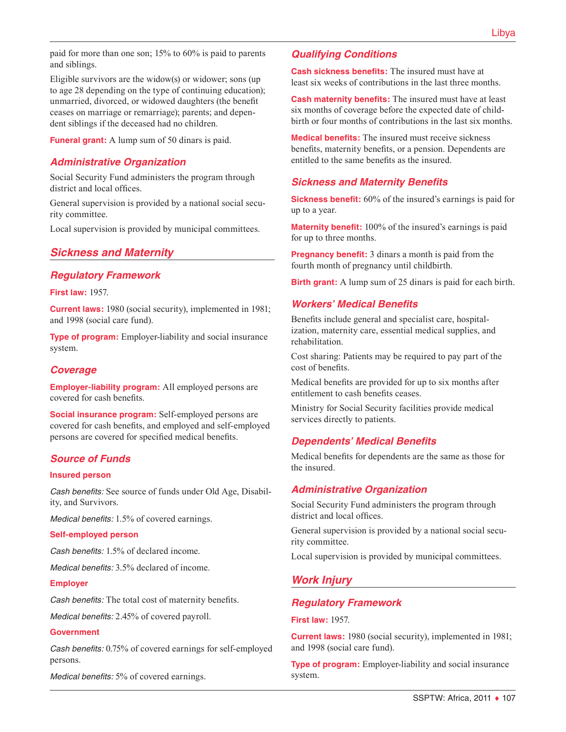paid for more than one son; 15% to 60% is paid to parents and siblings.

Eligible survivors are the widow(s) or widower; sons (up to age 28 depending on the type of continuing education); unmarried, divorced, or widowed daughters (the benefit ceases on marriage or remarriage); parents; and dependent siblings if the deceased had no children.

**Funeral grant:** A lump sum of 50 dinars is paid.

## *Administrative Organization*

Social Security Fund administers the program through district and local offices.

General supervision is provided by a national social security committee.

Local supervision is provided by municipal committees.

## *Sickness and Maternity*

#### *Regulatory Framework*

**First law:** 1957.

**Current laws:** 1980 (social security), implemented in 1981; and 1998 (social care fund).

**Type of program:** Employer-liability and social insurance system.

## *Coverage*

**Employer-liability program:** All employed persons are covered for cash benefits.

**Social insurance program:** Self-employed persons are covered for cash benefits, and employed and self-employed persons are covered for specified medical benefits.

#### *Source of Funds*

#### **Insured person**

*Cash benefits:* See source of funds under Old Age, Disability, and Survivors.

*Medical benefits:* 1.5% of covered earnings.

#### **Self-employed person**

*Cash benefits:* 1.5% of declared income.

*Medical benefits:* 3.5% declared of income.

#### **Employer**

*Cash benefits:* The total cost of maternity benefits.

*Medical benefits:* 2.45% of covered payroll.

#### **Government**

*Cash benefits:* 0.75% of covered earnings for self-employed persons.

*Medical benefits:* 5% of covered earnings.

## *Qualifying Conditions*

**Cash sickness benefits:** The insured must have at least six weeks of contributions in the last three months.

**Cash maternity benefits:** The insured must have at least six months of coverage before the expected date of childbirth or four months of contributions in the last six months.

**Medical benefits:** The insured must receive sickness benefits, maternity benefits, or a pension. Dependents are entitled to the same benefits as the insured.

#### *Sickness and Maternity Benefits*

**Sickness benefit:** 60% of the insured's earnings is paid for up to a year.

**Maternity benefit:** 100% of the insured's earnings is paid for up to three months.

**Pregnancy benefit:** 3 dinars a month is paid from the fourth month of pregnancy until childbirth.

**Birth grant:** A lump sum of 25 dinars is paid for each birth.

#### *Workers' Medical Benefits*

Benefits include general and specialist care, hospitalization, maternity care, essential medical supplies, and rehabilitation.

Cost sharing: Patients may be required to pay part of the cost of benefits.

Medical benefits are provided for up to six months after entitlement to cash benefits ceases.

Ministry for Social Security facilities provide medical services directly to patients.

## *Dependents' Medical Benefits*

Medical benefits for dependents are the same as those for the insured.

#### *Administrative Organization*

Social Security Fund administers the program through district and local offices.

General supervision is provided by a national social security committee.

Local supervision is provided by municipal committees.

## *Work Injury*

#### *Regulatory Framework*

**First law:** 1957.

**Current laws:** 1980 (social security), implemented in 1981; and 1998 (social care fund).

**Type of program:** Employer-liability and social insurance system.